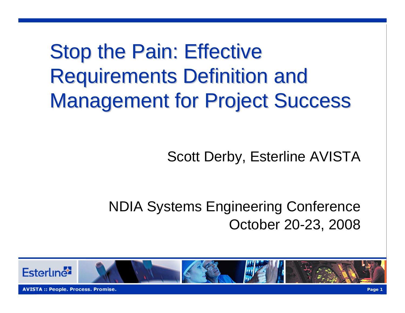**Stop the Pain: Effective Requirements Definition and Management for Project Success** 

#### Scott Derby, Esterline AVISTA

#### NDIA Systems Engineering Conference October 20-23, 2008

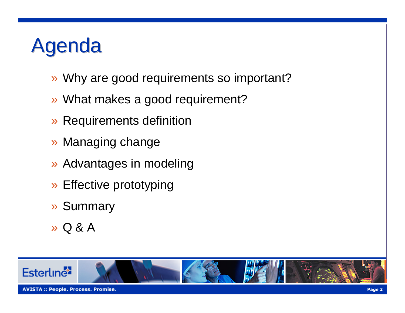### genda

- » Why are good requirements so important?
- » What makes a good requirement?
- » Requirements definition
- » Managing change
- » Advantages in modeling
- » Effective prototyping
- » Summary
- » Q & A

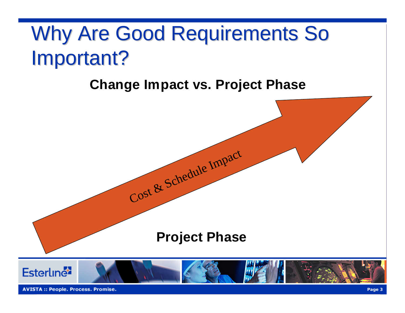## Why Are Good Requirements So Important?

#### **Change Impact vs. Project Phase**



**AVISTA:: People. Process. Promise.**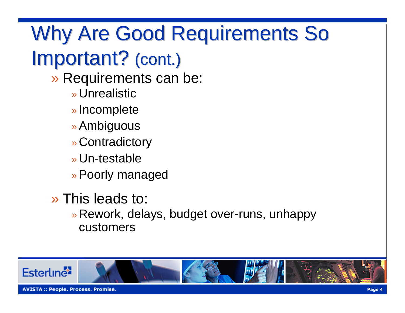## Why Are Good Requirements So Important? (cont.)

- » Requirements can be:
	- » Unrealistic
	- » Incomplete
	- » Ambiguous
	- » Contradictory
	- » Un-testable
	- » Poorly managed
- » This leads to:
	- » Rework, delays, budget over-runs, unhappy customers

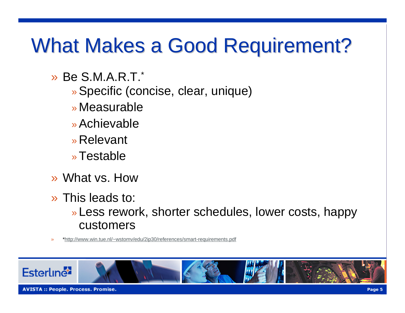### What Makes a Good Requirement?

- » Be S.M.A.R.T. \*
	- » Specific (concise, clear, unique)
	- » Measurable
	- » Achievable
	- » Relevant
	- » Testable
- » What vs. How
- » This leads to:
	- » Less rework, shorter schedules, lower costs, happy customers
- »[\\*http://www.win.tue.nl/~wstomv/edu/2ip30/references/smart-requirements.pdf](http://www.win.tue.nl/~wstomv/edu/2ip30/references/smart-requirements.pdf)

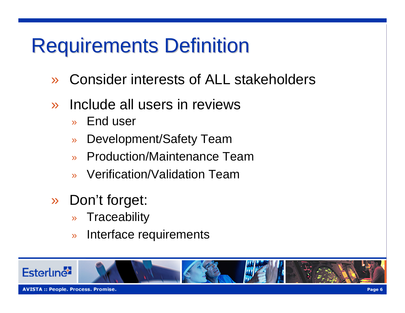## **Requirements Definition**

- »Consider interests of ALL stakeholders
- » Include all users in reviews
	- »End user
	- »Development/Safety Team
	- »Production/Maintenance Team
	- » Verification/Validation Team
- » Don't forget:
	- »**Traceability**
	- »Interface requirements

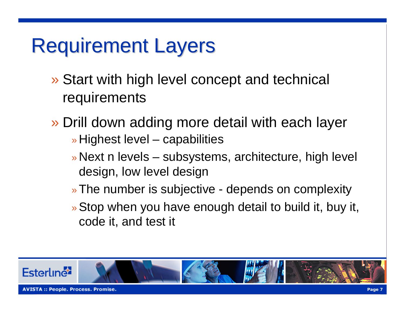## **Requirement Layers**

- » Start with high level concept and technical requirements
- » Drill down adding more detail with each layer » Highest level – capabilities
	- » Next n levels subsystems, architecture, high level design, low level design
	- » The number is subjective depends on complexity
	- » Stop when you have enough detail to build it, buy it, code it, and test it

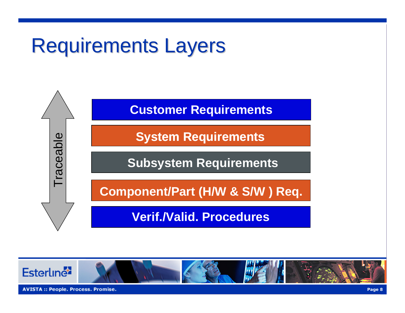## **Requirements Layers**



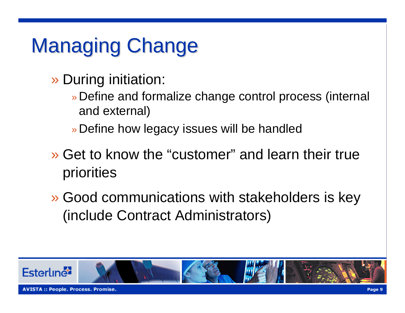# **Managing Change**

- » During initiation:
	- » Define and formalize change control process (internal and external)
	- » Define how legacy issues will be handled
- » Get to know the "customer" and learn their true priorities
- » Good communications with stakeholders is key (include Contract Administrators)

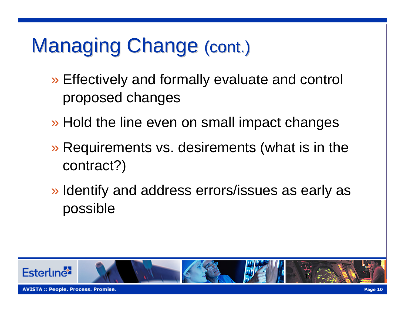## Managing Change (cont.)

- » Effectively and formally evaluate and control proposed changes
- » Hold the line even on small impact changes
- » Requirements vs. desirements (what is in the contract?)
- » Identify and address errors/issues as early as possible

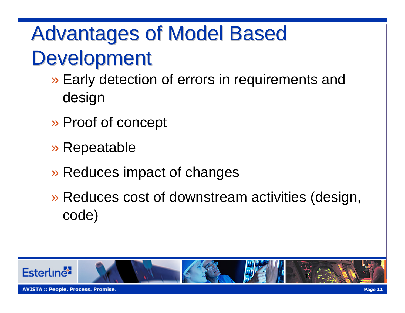## **Advantages of Model Based Development**

- » Early detection of errors in requirements and design
- » Proof of concept
- » Repeatable
- » Reduces impact of changes
- » Reduces cost of downstream activities (design, code)

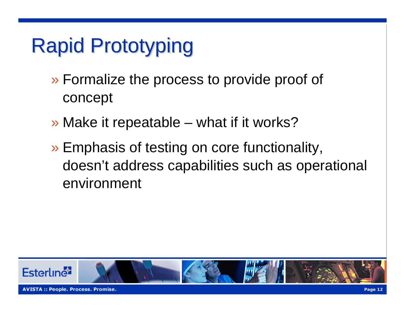# **Rapid Prototyping**

- » Formalize the process to provide proof of concept
- » Make it repeatable what if it works?
- » Emphasis of testing on core functionality, doesn't address capabilities such as operational environment

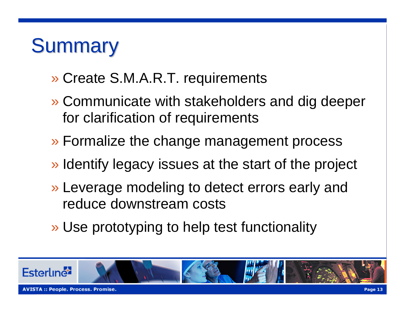#### **Summary**

- » Create S.M.A.R.T. requirements
- » Communicate with stakeholders and dig deeper for clarification of requirements
- » Formalize the change management process
- » Identify legacy issues at the start of the project
- » Leverage modeling to detect errors early and reduce downstream costs
- » Use prototyping to help test functionality